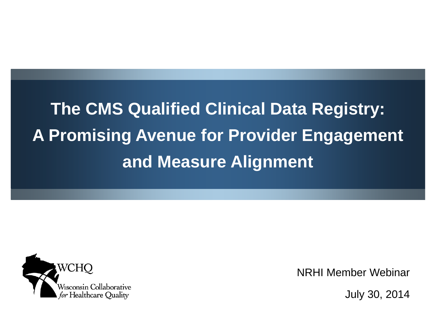**The CMS Qualified Clinical Data Registry: A Promising Avenue for Provider Engagement and Measure Alignment**



NRHI Member Webinar

July 30, 2014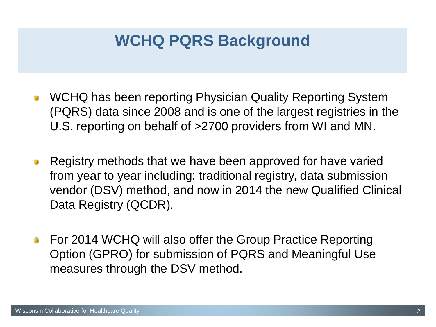## **WCHQ PQRS Background**

- WCHQ has been reporting Physician Quality Reporting System (PQRS) data since 2008 and is one of the largest registries in the U.S. reporting on behalf of >2700 providers from WI and MN.
- Registry methods that we have been approved for have varied from year to year including: traditional registry, data submission vendor (DSV) method, and now in 2014 the new Qualified Clinical Data Registry (QCDR).
- For 2014 WCHQ will also offer the Group Practice Reporting Option (GPRO) for submission of PQRS and Meaningful Use measures through the DSV method.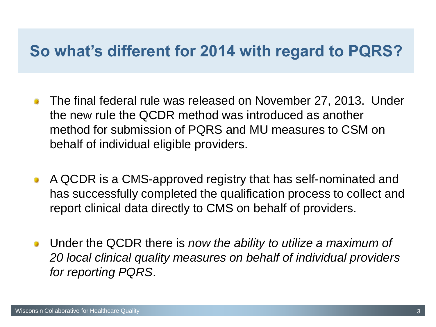#### **So what's different for 2014 with regard to PQRS?**

- The final federal rule was released on November 27, 2013. Under the new rule the QCDR method was introduced as another method for submission of PQRS and MU measures to CSM on behalf of individual eligible providers.
- A QCDR is a CMS-approved registry that has self-nominated and has successfully completed the qualification process to collect and report clinical data directly to CMS on behalf of providers.
- Under the QCDR there is *now the ability to utilize a maximum of 20 local clinical quality measures on behalf of individual providers for reporting PQRS*.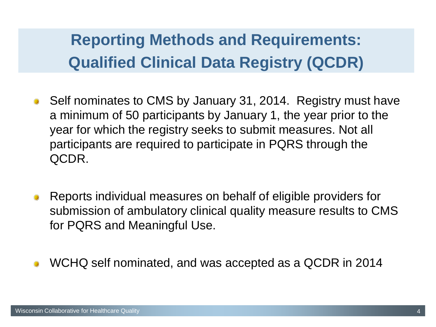# **Reporting Methods and Requirements: Qualified Clinical Data Registry (QCDR)**

- Self nominates to CMS by January 31, 2014. Registry must have a minimum of 50 participants by January 1, the year prior to the year for which the registry seeks to submit measures. Not all participants are required to participate in PQRS through the QCDR.
- Reports individual measures on behalf of eligible providers for submission of ambulatory clinical quality measure results to CMS for PQRS and Meaningful Use.
- WCHQ self nominated, and was accepted as a QCDR in 2014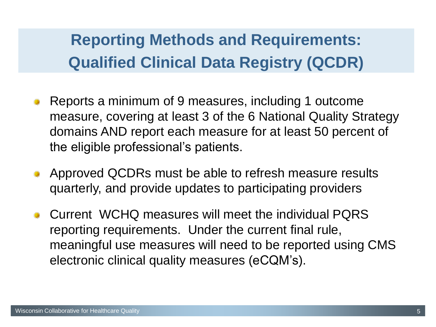# **Reporting Methods and Requirements: Qualified Clinical Data Registry (QCDR)**

- Reports a minimum of 9 measures, including 1 outcome measure, covering at least 3 of the 6 National Quality Strategy domains AND report each measure for at least 50 percent of the eligible professional's patients.
- Approved QCDRs must be able to refresh measure results quarterly, and provide updates to participating providers
- Current WCHQ measures will meet the individual PQRS reporting requirements. Under the current final rule, meaningful use measures will need to be reported using CMS electronic clinical quality measures (eCQM's).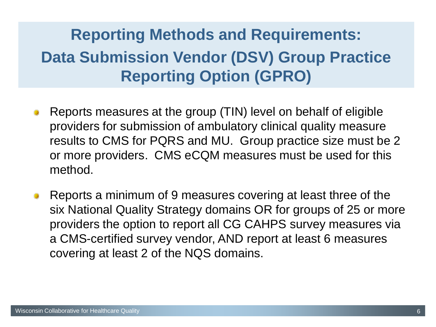# **Reporting Methods and Requirements: Data Submission Vendor (DSV) Group Practice Reporting Option (GPRO)**

- Reports measures at the group (TIN) level on behalf of eligible providers for submission of ambulatory clinical quality measure results to CMS for PQRS and MU. Group practice size must be 2 or more providers. CMS eCQM measures must be used for this method.
- Reports a minimum of 9 measures covering at least three of the six National Quality Strategy domains OR for groups of 25 or more providers the option to report all CG CAHPS survey measures via a CMS-certified survey vendor, AND report at least 6 measures covering at least 2 of the NQS domains.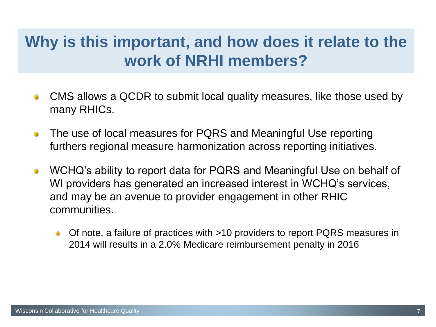## **Why is this important, and how does it relate to the work of NRHI members?**

- CMS allows a QCDR to submit local quality measures, like those used by many RHICs.
- The use of local measures for PQRS and Meaningful Use reporting ۰ furthers regional measure harmonization across reporting initiatives.
- WCHQ's ability to report data for PQRS and Meaningful Use on behalf of WI providers has generated an increased interest in WCHQ's services, and may be an avenue to provider engagement in other RHIC communities.
	- Of note, a failure of practices with >10 providers to report PQRS measures in  $\bullet$ 2014 will results in a 2.0% Medicare reimbursement penalty in 2016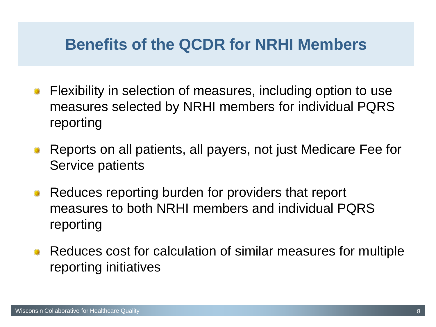#### **Benefits of the QCDR for NRHI Members**

- Flexibility in selection of measures, including option to use measures selected by NRHI members for individual PQRS reporting
- Reports on all patients, all payers, not just Medicare Fee for Service patients
- Reduces reporting burden for providers that report measures to both NRHI members and individual PQRS reporting
- Reduces cost for calculation of similar measures for multiple reporting initiatives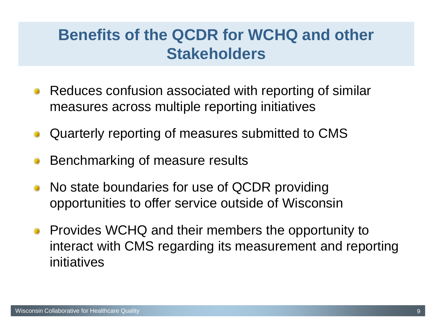### **Benefits of the QCDR for WCHQ and other Stakeholders**

- Reduces confusion associated with reporting of similar measures across multiple reporting initiatives
- Quarterly reporting of measures submitted to CMS
- Benchmarking of measure results
- No state boundaries for use of QCDR providing opportunities to offer service outside of Wisconsin
- Provides WCHQ and their members the opportunity to interact with CMS regarding its measurement and reporting initiatives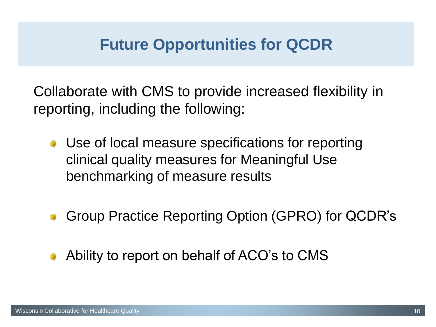## **Future Opportunities for QCDR**

Collaborate with CMS to provide increased flexibility in reporting, including the following:

- Use of local measure specifications for reporting clinical quality measures for Meaningful Use benchmarking of measure results
- Group Practice Reporting Option (GPRO) for QCDR's
- Ability to report on behalf of ACO's to CMS